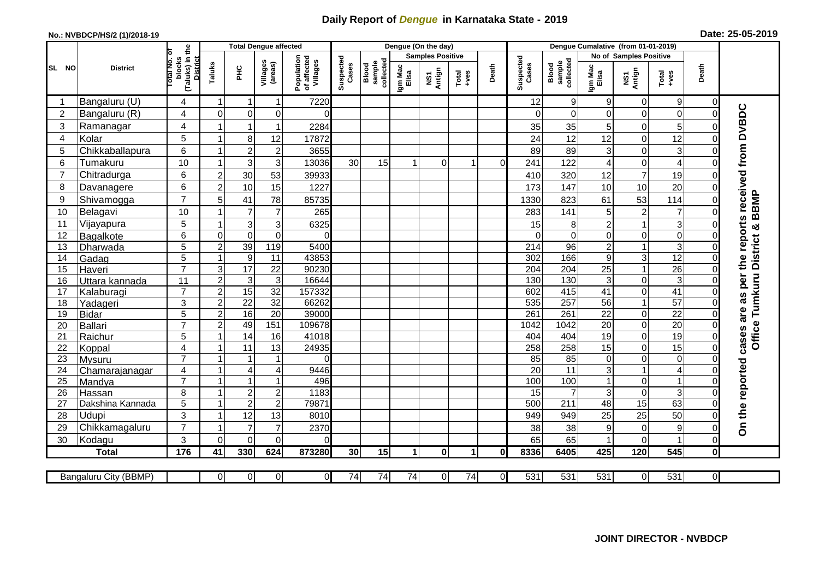## **Daily Report of** *Dengue* **in Karnataka State - 2019**

## **No.: NVBDCP/HS/2 (1)/2018-19 Date: 25-05-2019**

|                | <b>District</b>         |                                                      | <b>Total Dengue affected</b> |                           |                         |                                       |                    |                              |                         | Dengue (On the day) |                                                              |                |                    |                              |                  |                           |                         |                                        |                                                  |
|----------------|-------------------------|------------------------------------------------------|------------------------------|---------------------------|-------------------------|---------------------------------------|--------------------|------------------------------|-------------------------|---------------------|--------------------------------------------------------------|----------------|--------------------|------------------------------|------------------|---------------------------|-------------------------|----------------------------------------|--------------------------------------------------|
| SL NO          |                         |                                                      |                              |                           |                         |                                       | Suspected<br>Cases |                              | <b>Samples Positive</b> |                     |                                                              |                |                    | No of Samples Positive       |                  |                           |                         |                                        |                                                  |
|                |                         | (Taluks) in the<br>District<br>otal No. ol<br>blocks | Taluks                       | Ξ                         | Villages<br>(areas)     | Population<br>of affected<br>Villages |                    | Blood<br>sample<br>collected | Igm Mac<br>Elisa        | NS1<br>Antign       | $\begin{array}{c}\n\text{Total} \\ \text{+ves}\n\end{array}$ | Death          | Suspected<br>Cases | collected<br>sample<br>Blood | Igm Mac<br>Elisa | NS1<br>Antign             | Total<br>+ves           | Death                                  |                                                  |
|                | Bangaluru (U)           | 4                                                    | 1                            | $\mathbf 1$               | $\mathbf{1}$            | 7220                                  |                    |                              |                         |                     |                                                              |                | 12                 | 9                            | 9                | $\mathbf 0$               | 9                       | $\overline{0}$                         |                                                  |
| $\overline{2}$ | Bangaluru (R)           | $\overline{4}$                                       | $\mathbf 0$                  | $\mathbf 0$               | 0                       | $\Omega$                              |                    |                              |                         |                     |                                                              |                | $\Omega$           | $\Omega$                     | $\Omega$         | $\mathbf 0$               | 0                       | $\mathbf 0$                            | cases are as per the reports received from DVBDC |
| 3              | Ramanagar               | $\overline{4}$                                       |                              | 1                         | -1                      | 2284                                  |                    |                              |                         |                     |                                                              |                | 35                 | 35                           | 5                | $\mathbf 0$               | 5                       | $\Omega$                               |                                                  |
| 4              | Kolar                   | 5                                                    | $\overline{1}$               | 8                         | 12                      | 17872                                 |                    |                              |                         |                     |                                                              |                | 24                 | 12                           | 12               | $\mathbf 0$               | 12                      | $\overline{0}$                         |                                                  |
| 5              | Chikkaballapura         | $6\phantom{1}$                                       | 1                            | $\overline{c}$            | $\overline{\mathbf{c}}$ | 3655                                  |                    |                              |                         |                     |                                                              |                | 89                 | 89                           | 3                | $\mathbf 0$               | 3                       | 0                                      |                                                  |
| 6              | Tumakuru                | 10                                                   | $\mathbf{1}$                 | 3                         | 3                       | 13036                                 | 30                 | 15                           |                         | $\Omega$            |                                                              | $\Omega$       | 241                | 122                          | 4                | $\mathbf 0$               | 4                       | $\Omega$                               |                                                  |
| 7              | Chitradurga             | 6                                                    | $\overline{c}$               | 30                        | 53                      | 39933                                 |                    |                              |                         |                     |                                                              |                | 410                | 320                          | 12               | $\overline{7}$            | 19                      | 0                                      |                                                  |
| 8              | Davanagere              | 6                                                    | $\overline{2}$               | 10                        | 15                      | 1227                                  |                    |                              |                         |                     |                                                              |                | 173                | 147                          | 10               | 10                        | 20                      | 0                                      |                                                  |
| 9              | Shivamogga              | $\overline{7}$                                       | 5                            | 41                        | 78                      | 85735                                 |                    |                              |                         |                     |                                                              |                | 1330               | 823                          | 61               | 53                        | 114                     | $\Omega$                               | <b>BBMP</b>                                      |
| 10             | Belagavi                | 10                                                   | -1                           | $\overline{7}$            | $\overline{7}$          | 265                                   |                    |                              |                         |                     |                                                              |                | 283                | 141                          | 5                | $\sqrt{2}$                | $\overline{7}$          | $\Omega$                               |                                                  |
| 11             | Vijayapura              | 5                                                    | 1                            | $\overline{3}$            | 3                       | 6325                                  |                    |                              |                         |                     |                                                              |                | 15                 | 8                            | $\overline{2}$   | $\mathbf{1}$              | 3                       | 0                                      | ×                                                |
| 12             | Bagalkote               | 6                                                    | $\mathbf 0$                  | $\overline{0}$            | $\mathbf 0$             | $\Omega$                              |                    |                              |                         |                     |                                                              |                | $\Omega$           | $\Omega$                     | $\Omega$         | $\pmb{0}$                 | $\overline{0}$          | $\Omega$                               |                                                  |
| 13             | Dharwada                | $\overline{5}$                                       | $\overline{2}$               | 39                        | 119                     | 5400                                  |                    |                              |                         |                     |                                                              |                | $\overline{214}$   | 96                           | $\overline{c}$   | $\mathbf{1}$              | $\overline{3}$          | 0                                      | Tumkuru District                                 |
| 14             | Gadag                   | 5                                                    | $\mathbf{1}$                 | $\overline{9}$            | 11                      | 43853                                 |                    |                              |                         |                     |                                                              |                | 302                | 166                          | 9                | $\ensuremath{\mathsf{3}}$ | 12                      | 0                                      |                                                  |
| 15             | Haveri                  | $\overline{7}$                                       | 3                            | 17                        | $\overline{22}$         | 90230                                 |                    |                              |                         |                     |                                                              |                | 204                | $\overline{204}$             | 25               | $\mathbf{1}$              | $\overline{26}$         | $\overline{0}$                         |                                                  |
| 16             | Uttara kannada          | 11                                                   | $\overline{a}$               | $\ensuremath{\mathsf{3}}$ | $\overline{3}$          | 16644                                 |                    |                              |                         |                     |                                                              |                | 130                | 130                          | 3                | $\pmb{0}$                 | 3                       | 0                                      |                                                  |
| 17             | Kalaburagi              | $\overline{7}$                                       | $\overline{2}$               | 15                        | $\overline{32}$         | 157332                                |                    |                              |                         |                     |                                                              |                | 602                | 415                          | $\overline{41}$  | $\mathbf 0$               | 41                      | $\overline{0}$                         |                                                  |
| 18             | Yadageri                | 3                                                    | $\overline{c}$               | $\overline{22}$           | 32                      | 66262                                 |                    |                              |                         |                     |                                                              |                | 535                | 257                          | 56               | $\mathbf{1}$              | $\overline{57}$         | 0                                      |                                                  |
| 19             | <b>Bidar</b>            | 5                                                    | $\overline{a}$               | 16                        | $\overline{20}$         | 39000                                 |                    |                              |                         |                     |                                                              |                | 261                | 261                          | $\overline{22}$  | $\mathbf 0$               | $\overline{22}$         | $\overline{0}$                         |                                                  |
| 20             | Ballari                 | $\overline{7}$                                       | $\overline{2}$               | 49                        | 151                     | 109678                                |                    |                              |                         |                     |                                                              |                | 1042               | 1042                         | $\overline{20}$  | $\overline{0}$            | $\overline{20}$         | $\mathbf 0$                            |                                                  |
| 21             | Raichur                 | 5                                                    | -1                           | $\overline{14}$           | 16                      | 41018                                 |                    |                              |                         |                     |                                                              |                | 404                | 404                          | $\overline{19}$  | $\pmb{0}$                 | 19                      | 0                                      | <b>Office</b>                                    |
| 22             | Koppal                  | 4                                                    | 1                            | $\overline{11}$           | 13                      | 24935                                 |                    |                              |                         |                     |                                                              |                | 258                | 258                          | $\overline{15}$  | $\mathbf 0$               | 15                      | $\overline{0}$                         |                                                  |
| 23             | Mysuru                  | $\overline{7}$                                       | 1                            | -1                        | $\mathbf 1$             | $\Omega$                              |                    |                              |                         |                     |                                                              |                | 85                 | 85                           | 0                | $\mathbf 0$               | 0                       | $\mathbf 0$                            |                                                  |
| 24             | Chamarajanagar          | $\overline{4}$<br>$\overline{7}$                     | $\mathbf{1}$                 | $\overline{4}$            | $\overline{4}$          | 9446                                  |                    |                              |                         |                     |                                                              |                | $\overline{20}$    | 11                           | 3                | $\mathbf{1}$              | $\overline{\mathbf{4}}$ | 0                                      |                                                  |
| 25             | Mandya                  |                                                      | 1                            | $\mathbf{1}$              | 1                       | 496                                   |                    |                              |                         |                     |                                                              |                | 100                | 100                          |                  | $\mathbf 0$               | 1                       | $\mathbf 0$                            |                                                  |
| 26             | Hassan                  | 8                                                    | 1<br>$\mathbf{1}$            | $\boldsymbol{2}$          | $\mathbf 2$             | 1183                                  |                    |                              |                         |                     |                                                              |                | 15                 |                              | 3                | $\mathbf 0$               | 3                       | $\mathbf 0$<br>$\overline{\mathsf{o}}$ |                                                  |
| 27             | Dakshina Kannada        | 5                                                    |                              | $\overline{2}$            | $\overline{2}$          | 79871                                 |                    |                              |                         |                     |                                                              |                | 500                | $\overline{211}$             | $\overline{48}$  | 15                        | 63                      |                                        |                                                  |
| 28<br>29       | Udupi<br>Chikkamagaluru | 3<br>$\overline{7}$                                  | 1<br>1                       | 12<br>$\overline{7}$      | 13<br>$\overline{7}$    | 8010<br>2370                          |                    |                              |                         |                     |                                                              |                | 949<br>38          | 949<br>38                    | 25<br>9          | 25<br>$\pmb{0}$           | 50<br>9                 | $\Omega$<br>0                          | On the reported                                  |
| 30             |                         | 3                                                    | $\Omega$                     | $\Omega$                  | $\Omega$                | $\Omega$                              |                    |                              |                         |                     |                                                              |                | 65                 | 65                           |                  | $\mathbf 0$               |                         | $\mathbf 0$                            |                                                  |
|                | Kodagu<br><b>Total</b>  | 176                                                  | 41                           | 330                       | 624                     | 873280                                | 30                 | 15                           | 1                       | $\mathbf{0}$        | $\blacktriangleleft$                                         | 0              | 8336               | 6405                         | 425              | 120                       | 545                     | $\mathbf 0$                            |                                                  |
|                |                         |                                                      |                              |                           |                         |                                       |                    |                              |                         |                     |                                                              |                |                    |                              |                  |                           |                         |                                        |                                                  |
|                | Bangaluru City (BBMP)   |                                                      | $\overline{0}$               | $\overline{0}$            | $\overline{0}$          | $\overline{0}$                        | 74                 | 74                           | 74                      | 0                   | 74                                                           | $\overline{0}$ | 531                | 531                          | 531              | $\overline{0}$            | 531                     | $\overline{0}$                         |                                                  |